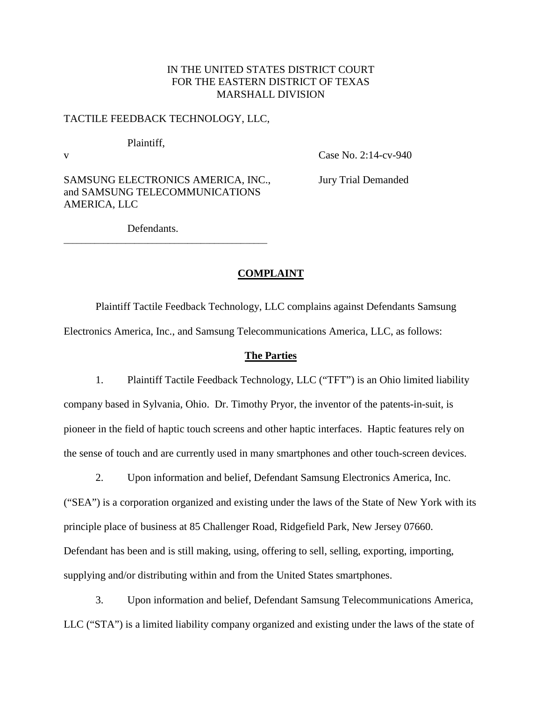# IN THE UNITED STATES DISTRICT COURT FOR THE EASTERN DISTRICT OF TEXAS MARSHALL DIVISION

# TACTILE FEEDBACK TECHNOLOGY, LLC,

Plaintiff,

v Case No. 2:14-cv-940

SAMSUNG ELECTRONICS AMERICA, INC., Jury Trial Demanded and SAMSUNG TELECOMMUNICATIONS AMERICA, LLC

\_\_\_\_\_\_\_\_\_\_\_\_\_\_\_\_\_\_\_\_\_\_\_\_\_\_\_\_\_\_\_\_\_\_\_\_\_\_\_\_\_\_\_\_\_\_

Defendants.

# **COMPLAINT**

Plaintiff Tactile Feedback Technology, LLC complains against Defendants Samsung Electronics America, Inc., and Samsung Telecommunications America, LLC, as follows:

### **The Parties**

1. Plaintiff Tactile Feedback Technology, LLC ("TFT") is an Ohio limited liability company based in Sylvania, Ohio. Dr. Timothy Pryor, the inventor of the patents-in-suit, is pioneer in the field of haptic touch screens and other haptic interfaces. Haptic features rely on the sense of touch and are currently used in many smartphones and other touch-screen devices.

2. Upon information and belief, Defendant Samsung Electronics America, Inc.

("SEA") is a corporation organized and existing under the laws of the State of New York with its principle place of business at 85 Challenger Road, Ridgefield Park, New Jersey 07660. Defendant has been and is still making, using, offering to sell, selling, exporting, importing, supplying and/or distributing within and from the United States smartphones.

3. Upon information and belief, Defendant Samsung Telecommunications America, LLC ("STA") is a limited liability company organized and existing under the laws of the state of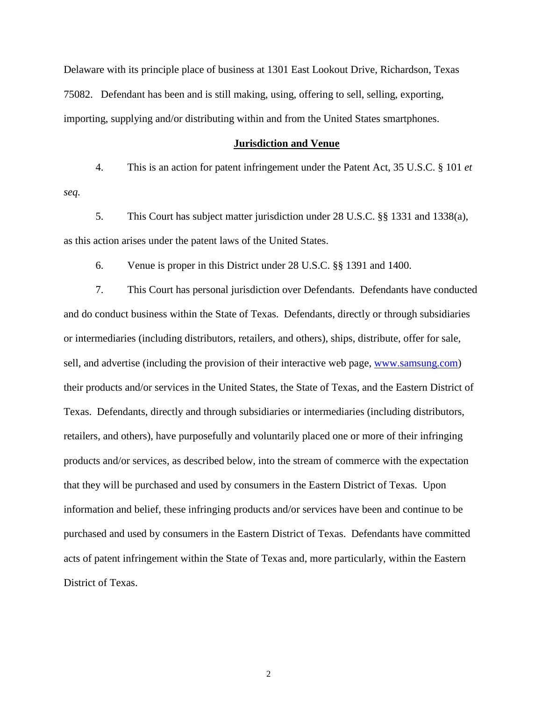Delaware with its principle place of business at 1301 East Lookout Drive, Richardson, Texas 75082. Defendant has been and is still making, using, offering to sell, selling, exporting, importing, supplying and/or distributing within and from the United States smartphones.

#### **Jurisdiction and Venue**

4. This is an action for patent infringement under the Patent Act, 35 U.S.C. § 101 *et seq.*

5. This Court has subject matter jurisdiction under 28 U.S.C. §§ 1331 and 1338(a), as this action arises under the patent laws of the United States.

6. Venue is proper in this District under 28 U.S.C. §§ 1391 and 1400.

7. This Court has personal jurisdiction over Defendants. Defendants have conducted and do conduct business within the State of Texas. Defendants, directly or through subsidiaries or intermediaries (including distributors, retailers, and others), ships, distribute, offer for sale, sell, and advertise (including the provision of their interactive web page, [www.samsung.com\)](http://www.samsung.com/) their products and/or services in the United States, the State of Texas, and the Eastern District of Texas. Defendants, directly and through subsidiaries or intermediaries (including distributors, retailers, and others), have purposefully and voluntarily placed one or more of their infringing products and/or services, as described below, into the stream of commerce with the expectation that they will be purchased and used by consumers in the Eastern District of Texas. Upon information and belief, these infringing products and/or services have been and continue to be purchased and used by consumers in the Eastern District of Texas. Defendants have committed acts of patent infringement within the State of Texas and, more particularly, within the Eastern District of Texas.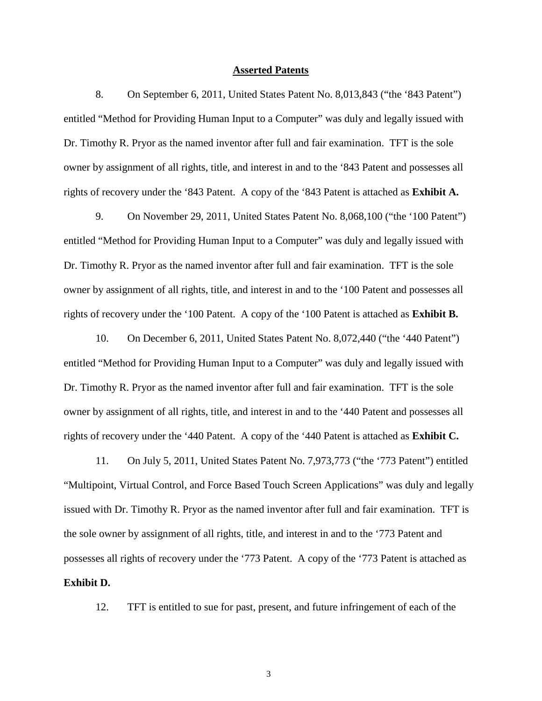#### **Asserted Patents**

8. On September 6, 2011, United States Patent No. 8,013,843 ("the '843 Patent") entitled "Method for Providing Human Input to a Computer" was duly and legally issued with Dr. Timothy R. Pryor as the named inventor after full and fair examination. TFT is the sole owner by assignment of all rights, title, and interest in and to the '843 Patent and possesses all rights of recovery under the '843 Patent. A copy of the '843 Patent is attached as **Exhibit A.**

9. On November 29, 2011, United States Patent No. 8,068,100 ("the '100 Patent") entitled "Method for Providing Human Input to a Computer" was duly and legally issued with Dr. Timothy R. Pryor as the named inventor after full and fair examination. TFT is the sole owner by assignment of all rights, title, and interest in and to the '100 Patent and possesses all rights of recovery under the '100 Patent. A copy of the '100 Patent is attached as **Exhibit B.**

10. On December 6, 2011, United States Patent No. 8,072,440 ("the '440 Patent") entitled "Method for Providing Human Input to a Computer" was duly and legally issued with Dr. Timothy R. Pryor as the named inventor after full and fair examination. TFT is the sole owner by assignment of all rights, title, and interest in and to the '440 Patent and possesses all rights of recovery under the '440 Patent. A copy of the '440 Patent is attached as **Exhibit C.**

11. On July 5, 2011, United States Patent No. 7,973,773 ("the '773 Patent") entitled "Multipoint, Virtual Control, and Force Based Touch Screen Applications" was duly and legally issued with Dr. Timothy R. Pryor as the named inventor after full and fair examination. TFT is the sole owner by assignment of all rights, title, and interest in and to the '773 Patent and possesses all rights of recovery under the '773 Patent. A copy of the '773 Patent is attached as **Exhibit D.**

12. TFT is entitled to sue for past, present, and future infringement of each of the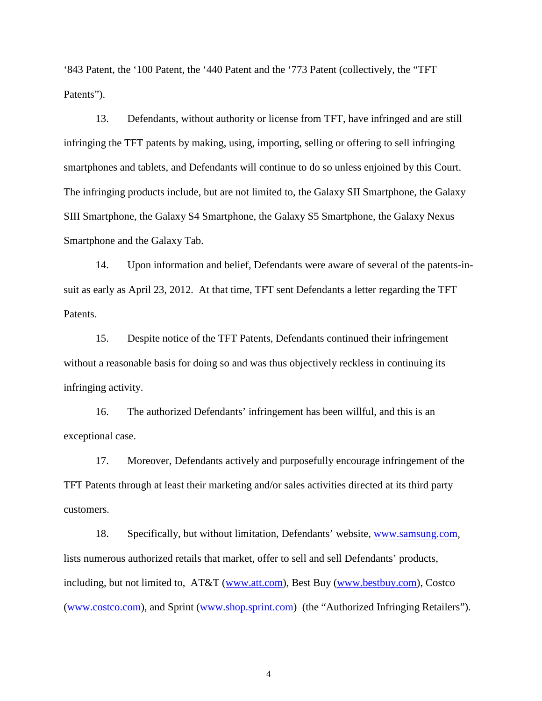'843 Patent, the '100 Patent, the '440 Patent and the '773 Patent (collectively, the "TFT Patents").

13. Defendants, without authority or license from TFT, have infringed and are still infringing the TFT patents by making, using, importing, selling or offering to sell infringing smartphones and tablets, and Defendants will continue to do so unless enjoined by this Court. The infringing products include, but are not limited to, the Galaxy SII Smartphone, the Galaxy SIII Smartphone, the Galaxy S4 Smartphone, the Galaxy S5 Smartphone, the Galaxy Nexus Smartphone and the Galaxy Tab.

14. Upon information and belief, Defendants were aware of several of the patents-insuit as early as April 23, 2012. At that time, TFT sent Defendants a letter regarding the TFT Patents.

15. Despite notice of the TFT Patents, Defendants continued their infringement without a reasonable basis for doing so and was thus objectively reckless in continuing its infringing activity.

16. The authorized Defendants' infringement has been willful, and this is an exceptional case.

17. Moreover, Defendants actively and purposefully encourage infringement of the TFT Patents through at least their marketing and/or sales activities directed at its third party customers.

18. Specifically, but without limitation, Defendants' website, [www.samsung.com,](http://www.samsung.com/) lists numerous authorized retails that market, offer to sell and sell Defendants' products, including, but not limited to, AT&T [\(www.att.com\)](http://www.att.com/), Best Buy [\(www.bestbuy.com\)](http://www.bestbuy.com/), Costco [\(www.costco.com\)](http://www.costco.com/), and Sprint [\(www.shop.sprint.com\)](http://www.shop.sprint.com/) (the "Authorized Infringing Retailers").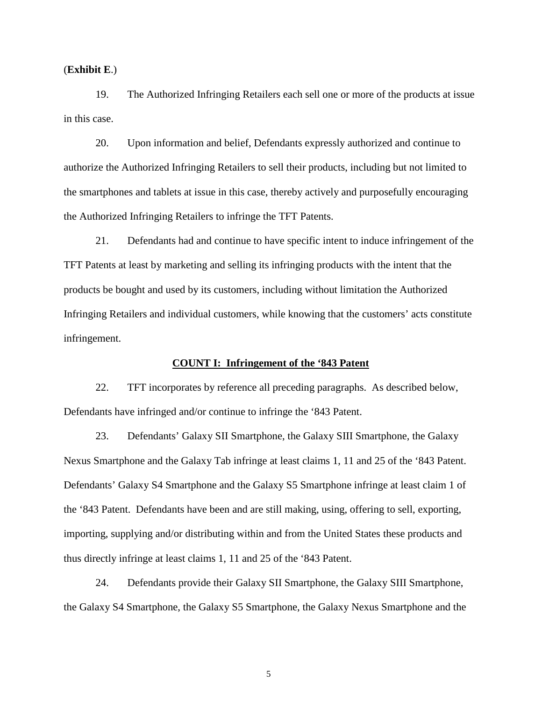(**Exhibit E**.)

19. The Authorized Infringing Retailers each sell one or more of the products at issue in this case.

20. Upon information and belief, Defendants expressly authorized and continue to authorize the Authorized Infringing Retailers to sell their products, including but not limited to the smartphones and tablets at issue in this case, thereby actively and purposefully encouraging the Authorized Infringing Retailers to infringe the TFT Patents.

21. Defendants had and continue to have specific intent to induce infringement of the TFT Patents at least by marketing and selling its infringing products with the intent that the products be bought and used by its customers, including without limitation the Authorized Infringing Retailers and individual customers, while knowing that the customers' acts constitute infringement.

## **COUNT I: Infringement of the '843 Patent**

22. TFT incorporates by reference all preceding paragraphs. As described below, Defendants have infringed and/or continue to infringe the '843 Patent.

23. Defendants' Galaxy SII Smartphone, the Galaxy SIII Smartphone, the Galaxy Nexus Smartphone and the Galaxy Tab infringe at least claims 1, 11 and 25 of the '843 Patent. Defendants' Galaxy S4 Smartphone and the Galaxy S5 Smartphone infringe at least claim 1 of the '843 Patent. Defendants have been and are still making, using, offering to sell, exporting, importing, supplying and/or distributing within and from the United States these products and thus directly infringe at least claims 1, 11 and 25 of the '843 Patent.

24. Defendants provide their Galaxy SII Smartphone, the Galaxy SIII Smartphone, the Galaxy S4 Smartphone, the Galaxy S5 Smartphone, the Galaxy Nexus Smartphone and the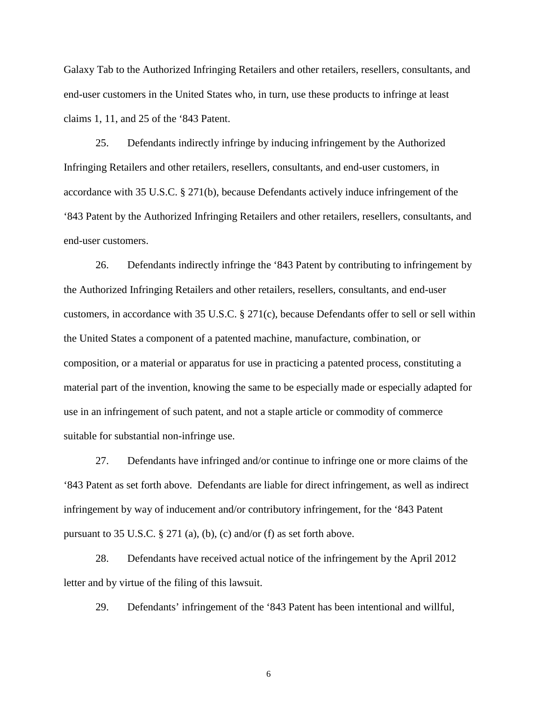Galaxy Tab to the Authorized Infringing Retailers and other retailers, resellers, consultants, and end-user customers in the United States who, in turn, use these products to infringe at least claims 1, 11, and 25 of the '843 Patent.

25. Defendants indirectly infringe by inducing infringement by the Authorized Infringing Retailers and other retailers, resellers, consultants, and end-user customers, in accordance with 35 U.S.C. § 271(b), because Defendants actively induce infringement of the '843 Patent by the Authorized Infringing Retailers and other retailers, resellers, consultants, and end-user customers.

26. Defendants indirectly infringe the '843 Patent by contributing to infringement by the Authorized Infringing Retailers and other retailers, resellers, consultants, and end-user customers, in accordance with 35 U.S.C. § 271(c), because Defendants offer to sell or sell within the United States a component of a patented machine, manufacture, combination, or composition, or a material or apparatus for use in practicing a patented process, constituting a material part of the invention, knowing the same to be especially made or especially adapted for use in an infringement of such patent, and not a staple article or commodity of commerce suitable for substantial non-infringe use.

27. Defendants have infringed and/or continue to infringe one or more claims of the '843 Patent as set forth above. Defendants are liable for direct infringement, as well as indirect infringement by way of inducement and/or contributory infringement, for the '843 Patent pursuant to 35 U.S.C. § 271 (a), (b), (c) and/or (f) as set forth above.

28. Defendants have received actual notice of the infringement by the April 2012 letter and by virtue of the filing of this lawsuit.

29. Defendants' infringement of the '843 Patent has been intentional and willful,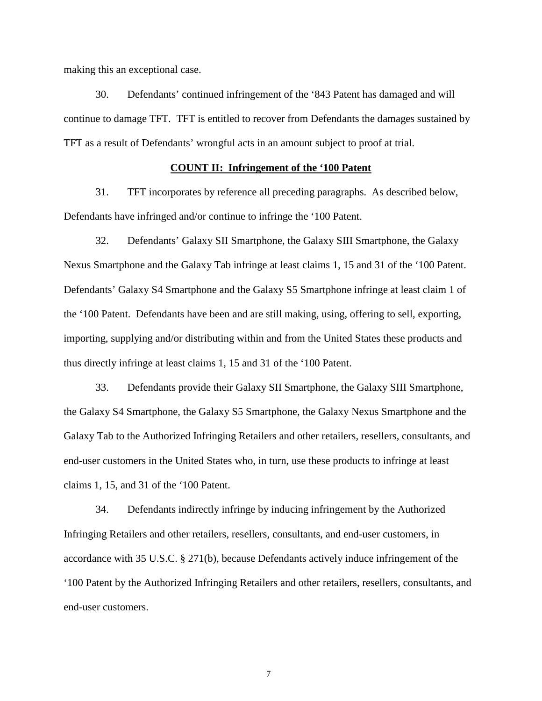making this an exceptional case.

30. Defendants' continued infringement of the '843 Patent has damaged and will continue to damage TFT. TFT is entitled to recover from Defendants the damages sustained by TFT as a result of Defendants' wrongful acts in an amount subject to proof at trial.

### **COUNT II: Infringement of the '100 Patent**

31. TFT incorporates by reference all preceding paragraphs. As described below, Defendants have infringed and/or continue to infringe the '100 Patent.

32. Defendants' Galaxy SII Smartphone, the Galaxy SIII Smartphone, the Galaxy Nexus Smartphone and the Galaxy Tab infringe at least claims 1, 15 and 31 of the '100 Patent. Defendants' Galaxy S4 Smartphone and the Galaxy S5 Smartphone infringe at least claim 1 of the '100 Patent. Defendants have been and are still making, using, offering to sell, exporting, importing, supplying and/or distributing within and from the United States these products and thus directly infringe at least claims 1, 15 and 31 of the '100 Patent.

33. Defendants provide their Galaxy SII Smartphone, the Galaxy SIII Smartphone, the Galaxy S4 Smartphone, the Galaxy S5 Smartphone, the Galaxy Nexus Smartphone and the Galaxy Tab to the Authorized Infringing Retailers and other retailers, resellers, consultants, and end-user customers in the United States who, in turn, use these products to infringe at least claims 1, 15, and 31 of the '100 Patent.

34. Defendants indirectly infringe by inducing infringement by the Authorized Infringing Retailers and other retailers, resellers, consultants, and end-user customers, in accordance with 35 U.S.C. § 271(b), because Defendants actively induce infringement of the '100 Patent by the Authorized Infringing Retailers and other retailers, resellers, consultants, and end-user customers.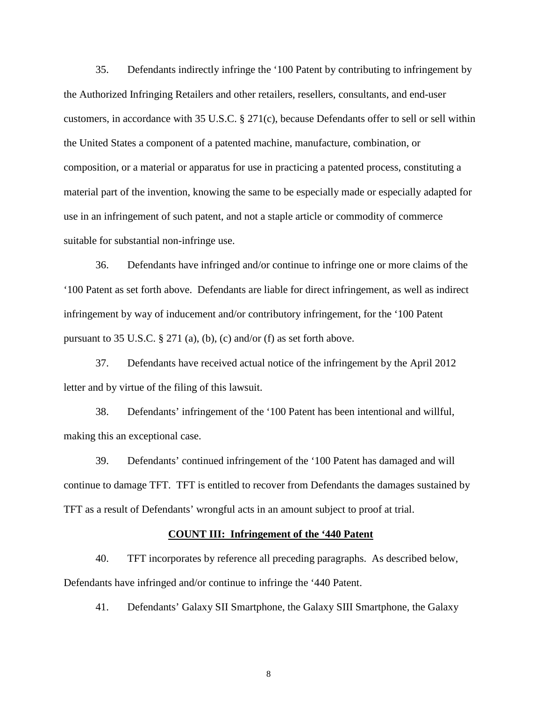35. Defendants indirectly infringe the '100 Patent by contributing to infringement by the Authorized Infringing Retailers and other retailers, resellers, consultants, and end-user customers, in accordance with 35 U.S.C. § 271(c), because Defendants offer to sell or sell within the United States a component of a patented machine, manufacture, combination, or composition, or a material or apparatus for use in practicing a patented process, constituting a material part of the invention, knowing the same to be especially made or especially adapted for use in an infringement of such patent, and not a staple article or commodity of commerce suitable for substantial non-infringe use.

36. Defendants have infringed and/or continue to infringe one or more claims of the '100 Patent as set forth above. Defendants are liable for direct infringement, as well as indirect infringement by way of inducement and/or contributory infringement, for the '100 Patent pursuant to 35 U.S.C. § 271 (a), (b), (c) and/or (f) as set forth above.

37. Defendants have received actual notice of the infringement by the April 2012 letter and by virtue of the filing of this lawsuit.

38. Defendants' infringement of the '100 Patent has been intentional and willful, making this an exceptional case.

39. Defendants' continued infringement of the '100 Patent has damaged and will continue to damage TFT. TFT is entitled to recover from Defendants the damages sustained by TFT as a result of Defendants' wrongful acts in an amount subject to proof at trial.

### **COUNT III: Infringement of the '440 Patent**

40. TFT incorporates by reference all preceding paragraphs. As described below, Defendants have infringed and/or continue to infringe the '440 Patent.

41. Defendants' Galaxy SII Smartphone, the Galaxy SIII Smartphone, the Galaxy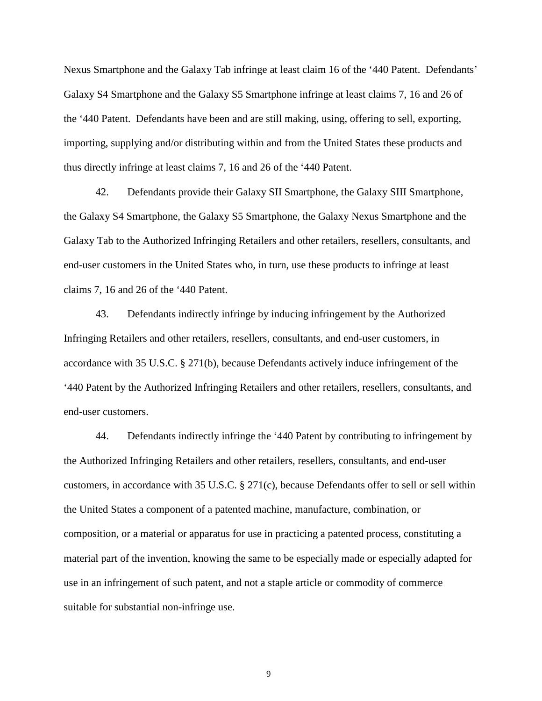Nexus Smartphone and the Galaxy Tab infringe at least claim 16 of the '440 Patent. Defendants' Galaxy S4 Smartphone and the Galaxy S5 Smartphone infringe at least claims 7, 16 and 26 of the '440 Patent. Defendants have been and are still making, using, offering to sell, exporting, importing, supplying and/or distributing within and from the United States these products and thus directly infringe at least claims 7, 16 and 26 of the '440 Patent.

42. Defendants provide their Galaxy SII Smartphone, the Galaxy SIII Smartphone, the Galaxy S4 Smartphone, the Galaxy S5 Smartphone, the Galaxy Nexus Smartphone and the Galaxy Tab to the Authorized Infringing Retailers and other retailers, resellers, consultants, and end-user customers in the United States who, in turn, use these products to infringe at least claims 7, 16 and 26 of the '440 Patent.

43. Defendants indirectly infringe by inducing infringement by the Authorized Infringing Retailers and other retailers, resellers, consultants, and end-user customers, in accordance with 35 U.S.C. § 271(b), because Defendants actively induce infringement of the '440 Patent by the Authorized Infringing Retailers and other retailers, resellers, consultants, and end-user customers.

44. Defendants indirectly infringe the '440 Patent by contributing to infringement by the Authorized Infringing Retailers and other retailers, resellers, consultants, and end-user customers, in accordance with 35 U.S.C. § 271(c), because Defendants offer to sell or sell within the United States a component of a patented machine, manufacture, combination, or composition, or a material or apparatus for use in practicing a patented process, constituting a material part of the invention, knowing the same to be especially made or especially adapted for use in an infringement of such patent, and not a staple article or commodity of commerce suitable for substantial non-infringe use.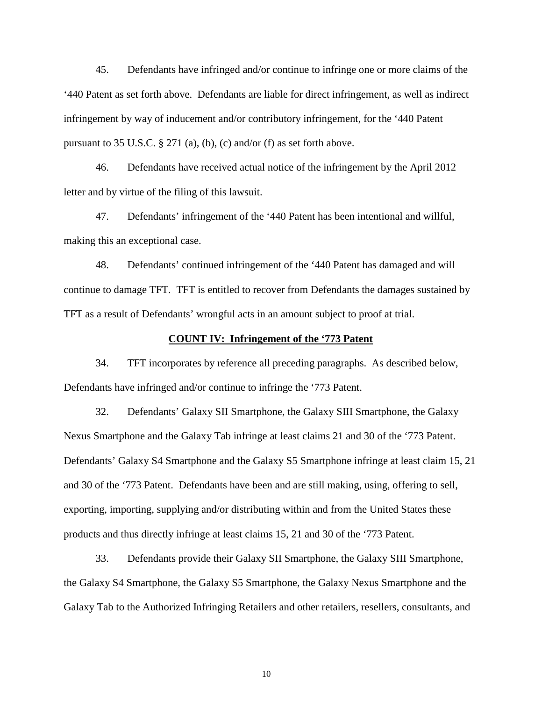45. Defendants have infringed and/or continue to infringe one or more claims of the '440 Patent as set forth above. Defendants are liable for direct infringement, as well as indirect infringement by way of inducement and/or contributory infringement, for the '440 Patent pursuant to 35 U.S.C. § 271 (a), (b), (c) and/or (f) as set forth above.

46. Defendants have received actual notice of the infringement by the April 2012 letter and by virtue of the filing of this lawsuit.

47. Defendants' infringement of the '440 Patent has been intentional and willful, making this an exceptional case.

48. Defendants' continued infringement of the '440 Patent has damaged and will continue to damage TFT. TFT is entitled to recover from Defendants the damages sustained by TFT as a result of Defendants' wrongful acts in an amount subject to proof at trial.

#### **COUNT IV: Infringement of the '773 Patent**

34. TFT incorporates by reference all preceding paragraphs. As described below, Defendants have infringed and/or continue to infringe the '773 Patent.

32. Defendants' Galaxy SII Smartphone, the Galaxy SIII Smartphone, the Galaxy Nexus Smartphone and the Galaxy Tab infringe at least claims 21 and 30 of the '773 Patent. Defendants' Galaxy S4 Smartphone and the Galaxy S5 Smartphone infringe at least claim 15, 21 and 30 of the '773 Patent. Defendants have been and are still making, using, offering to sell, exporting, importing, supplying and/or distributing within and from the United States these products and thus directly infringe at least claims 15, 21 and 30 of the '773 Patent.

33. Defendants provide their Galaxy SII Smartphone, the Galaxy SIII Smartphone, the Galaxy S4 Smartphone, the Galaxy S5 Smartphone, the Galaxy Nexus Smartphone and the Galaxy Tab to the Authorized Infringing Retailers and other retailers, resellers, consultants, and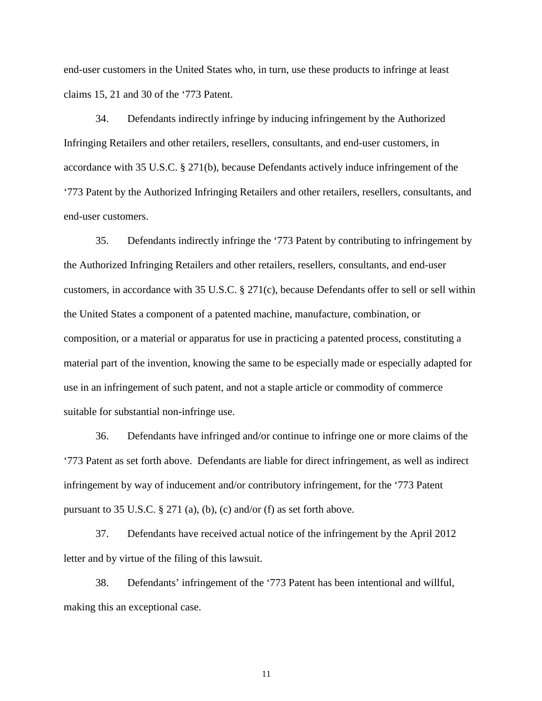end-user customers in the United States who, in turn, use these products to infringe at least claims 15, 21 and 30 of the '773 Patent.

34. Defendants indirectly infringe by inducing infringement by the Authorized Infringing Retailers and other retailers, resellers, consultants, and end-user customers, in accordance with 35 U.S.C. § 271(b), because Defendants actively induce infringement of the '773 Patent by the Authorized Infringing Retailers and other retailers, resellers, consultants, and end-user customers.

35. Defendants indirectly infringe the '773 Patent by contributing to infringement by the Authorized Infringing Retailers and other retailers, resellers, consultants, and end-user customers, in accordance with 35 U.S.C. § 271(c), because Defendants offer to sell or sell within the United States a component of a patented machine, manufacture, combination, or composition, or a material or apparatus for use in practicing a patented process, constituting a material part of the invention, knowing the same to be especially made or especially adapted for use in an infringement of such patent, and not a staple article or commodity of commerce suitable for substantial non-infringe use.

36. Defendants have infringed and/or continue to infringe one or more claims of the '773 Patent as set forth above. Defendants are liable for direct infringement, as well as indirect infringement by way of inducement and/or contributory infringement, for the '773 Patent pursuant to 35 U.S.C. § 271 (a), (b), (c) and/or (f) as set forth above.

37. Defendants have received actual notice of the infringement by the April 2012 letter and by virtue of the filing of this lawsuit.

38. Defendants' infringement of the '773 Patent has been intentional and willful, making this an exceptional case.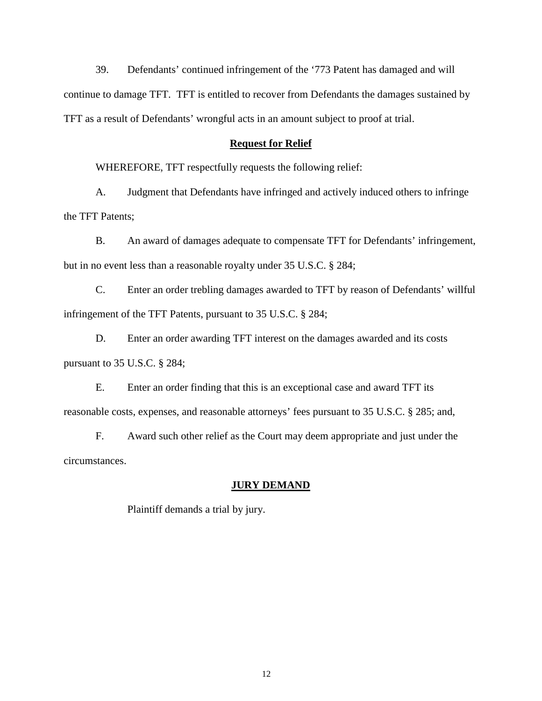39. Defendants' continued infringement of the '773 Patent has damaged and will continue to damage TFT. TFT is entitled to recover from Defendants the damages sustained by TFT as a result of Defendants' wrongful acts in an amount subject to proof at trial.

### **Request for Relief**

WHEREFORE, TFT respectfully requests the following relief:

A. Judgment that Defendants have infringed and actively induced others to infringe the TFT Patents;

B. An award of damages adequate to compensate TFT for Defendants' infringement, but in no event less than a reasonable royalty under 35 U.S.C. § 284;

C. Enter an order trebling damages awarded to TFT by reason of Defendants' willful infringement of the TFT Patents, pursuant to 35 U.S.C. § 284;

D. Enter an order awarding TFT interest on the damages awarded and its costs pursuant to 35 U.S.C. § 284;

E. Enter an order finding that this is an exceptional case and award TFT its reasonable costs, expenses, and reasonable attorneys' fees pursuant to 35 U.S.C. § 285; and,

F. Award such other relief as the Court may deem appropriate and just under the circumstances.

#### **JURY DEMAND**

Plaintiff demands a trial by jury.